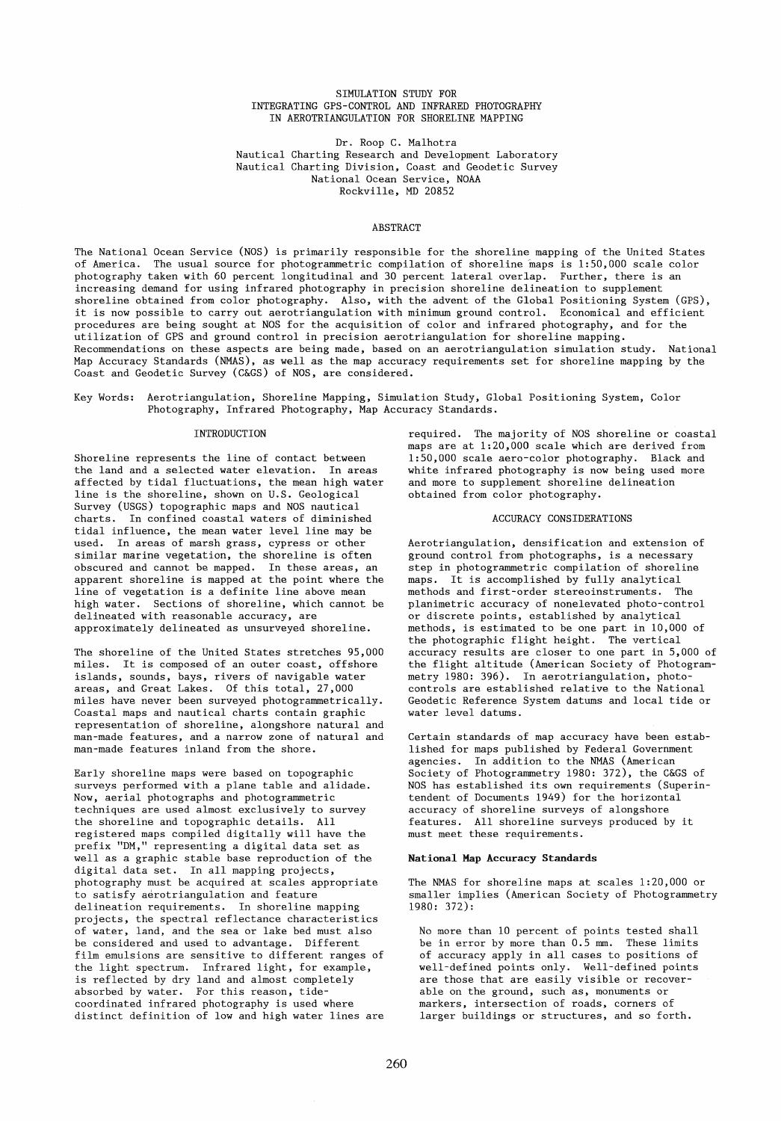## SIMULATION STUDY FOR INTEGRATING GPS-CONTROL AND INFRARED PHOTOGRAPHY IN AEROTRIANGULATION FOR SHORELINE MAPPING

Dr. Roop C. Malhotra Nautical Charting Research and Development Laboratory Nautical Charting Division, Coast and Geodetic Survey National Ocean Service, NOAA Rockville, MD 20852

## ABSTRACT

The National Ocean Service (NOS) is primarily responsible for the shoreline mapping of the United States of America. The usual source for photogrammetric compilation of shoreline maps is 1:50,000 scale color photography taken with 60 percent longitudinal and 30 percent lateral overlap. Further, there is an increasing demand for using infrared photography in precision shoreline delineation to supplement shoreline obtained from color photography. Also, with the advent of the Global Positioning System (GPS), it is now possible to carry out aerotriangulation with minimum ground control. Economical and efficient procedures are being sought at NOS for the acquisition of color and infrared photography, and for the utilization of GPS and ground control in precision aerotriangulation for shoreline mapping. Recommendations on these aspects are being made, based on an aerotriangulation simulation study. National Map Accuracy Standards (NMAS), as well as the map accuracy requirements set for shoreline mapping by the Coast and Geodetic Survey (C&GS) of NOS, are considered.

Key Words: Aerotriangulation, Shoreline Mapping, Simulation Study, Global Positioning System, Color Photography, Infrared Photography, Map Accuracy Standards.

#### INTRODUCTION

Shoreline represents the line of contact between the land and aselected water elevation. In areas affected by tidal fluctuations, the mean high water line is the shoreline, shown on U.S. Geological Survey (USGS) topographie maps and NOS nautical charts. In confined coastal waters of diminished tidal influence, the mean water level line may be used. In areas of marsh grass, cypress or other similar marine vegetation, the shoreline is often obscured and cannot be mapped. In these areas, an apparent shoreline is mapped at the point where the line of vegetation is a definite line above mean high water. Sections of shoreline, which cannot be delineated with reasonable accuracy, are approximately delineated as unsurveyed shoreline.

The shoreline of the United States stretches 95,000 miles. It is composed of an outer coast, offshore islands, sounds, bays, rivers of navigable water areas, and Great Lakes. Of this total, 27,000 miles have never been surveyed photogrammetrically. Coastal maps and nautical charts contain graphie representation of shoreline, alongshore natural and man-made features, and a narrow zone of natural and man-made features inland from the shore.

Early shoreline maps were based on topographie surveys performed with a plane table and alidade. Now, aerial photographs and photogrammetric techniques are used almost exclusively to survey the shoreline and topographie details. All registered maps compiled digitally will have the prefix "DM," representing a digital data set as well as agraphie stable base reproduction of the digital data set. In all mapping projects, photography must be acquired at scales appropriate to satisfy aerotriangulation and feature delineation requirements. In shoreline mapping projects, the spectral reflectance characteristics of water, land, and the sea or lake bed must also be considered and used to advantage. Different film emulsions are sensitive to different ranges of the light spectrum. Infrared light, for example, is reflected by dry land and almost completely absorbed by water. For this reason, tidecoordinated infrared photography is used where distinct definition of low and high water lines are

required. The majority of NOS shoreline or coastal maps are at 1:20,000 scale which are derived from 1:50,000 scale aero-color photography. Black and white infrared photography is now being used more and more to supplement shoreline delineation obtained from color photography.

#### ACCURACY CONSIDERATIONS

Aerotriangulation, densification and extension of ground control from photographs, is a necessary step in photogrammetric compilation of shoreline maps. It is accomplished by fully analytical methods and first-order stereoinstruments. The planimetrie accuracy of nonelevated photo-control or discrete points, established by analytical methods, is estimated to be one part in 10,000 of the photographie flight height. The vertical accuracy results are closer to one part in 5,000 of the flight altitude (American Society of Photogrammetry 1980: 396). In aerotriangulation, photocontrols are established relative to the National Geodetic Reference System datums and local tide or water level datums.

Certain standards of map accuracy have been established for maps published by Federal Government<br>agencies. In addition to the NMAS (American In addition to the NMAS (American Society of Photogrammetry 1980: 372), the C&GS of NOS has established its own requirements (Superintendent of Documents 1949) for the horizontal accuracy of shoreline surveys of alongshore features. All shoreline surveys produced by it must meet these requirements.

#### National Map Accuracy Standards

The NMAS for shoreline maps at scales 1:20,000 or smaller implies (American Society of Photogrammetry 1980: 372):

No more than 10 percent of points tested shall be in error by more than 0.5 mm. These limits of accuracy apply in all cases to positions of well-defined points only. Well-defined points are those that are easily visible or recoverable on the ground, such as, monuments or markers, intersection of roads, corners of larger buildings or structures, and so forth.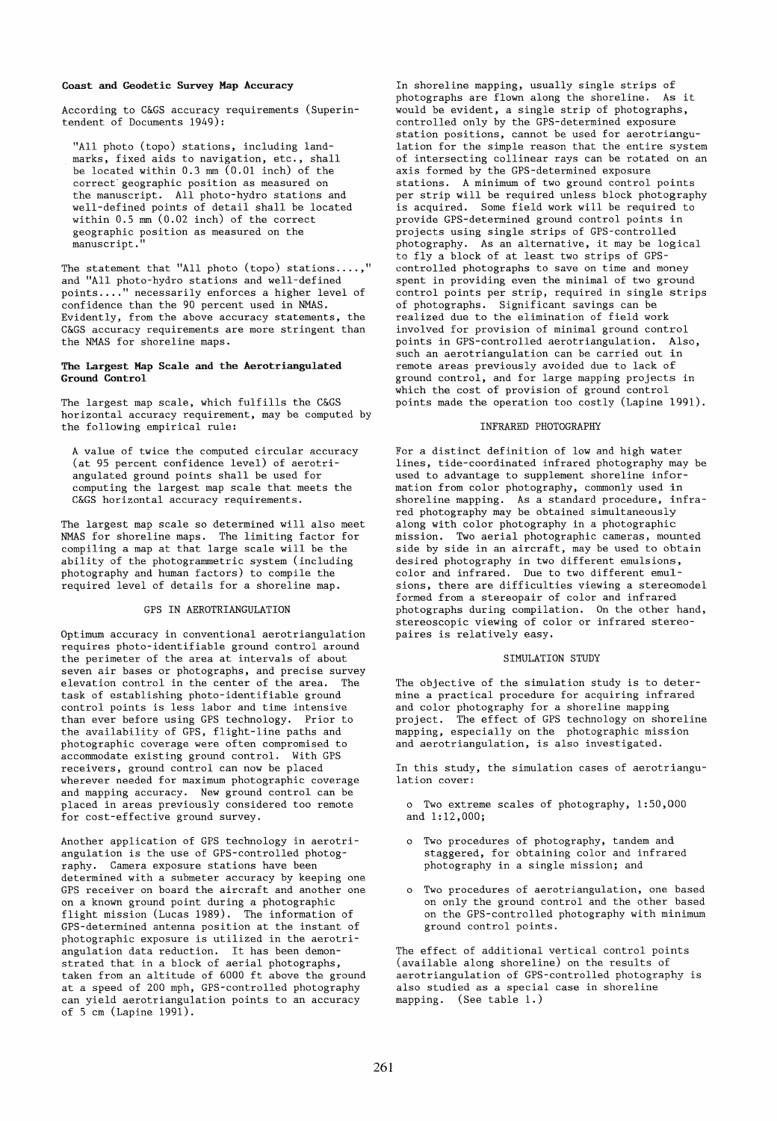#### Coast and Geodetic Survey Map Accuracy

According to C&GS accuracy requirements (Superintendent of Documents 1949):

"All photo (topo) stations, including landmarks, fixed aids to navigation, etc., shall be located within 0.3 mm (0.01 inch) of the correct geographic position as measured on the manuscript. All photo-hydro stations and well-defined points of detail shall be located within 0.5 mm (0.02 inch) of the correct geographie position as measured on the manuscript."

The statement that "All photo (topo) stations....," and "All photo-hydro stations and well-defined points .... " necessarily enforces a higher level of confidence than the 90 percent used in NMAS. Evidently, from the above accuracy statements, the C&GS accuracy requirements are more stringent than the NMAS for shoreline maps.

#### The Largest Map Scale and the Aerotriangulated Ground Control

The largest map scale, which fulfills the C&GS horizontal accuracy requirement, may be computed by the following empirical rule:

A value of twice the computed circular accuracy (at 95 percent confidence level) of aerotriangulated ground points shall be used for computing the largest map scale that meets the C&GS horizontal accuracy requirements.

The largest map scale so determined will also meet NMAS for shoreline maps. The limiting factor for compiling a map at that large scale will be the ability of the photogrammetric system (including photography and human factars) to compile the required level of details for a shoreline map.

# GPS IN AEROTRIANGULATION

Optimum accuracy in conventional aerotriangulation requires photo-identifiable ground control around the perimeter of the area at intervals of about seven air bases or photographs, and precise survey elevation control in the center of the area. The task of establishing photo-identifiable ground control points is less labor and time intensive than ever before using GPS technology. Prior to the availability of GPS, flight-line paths and photographie coverage were often compromised to accommodate existing ground control. With GPS receivers, ground control can now be placed wherever needed for maximum photographie coverage and mapping accuracy. New ground control can be placed in areas previously considered too remote for cost-effective ground survey.

Another application of GPS technology in aerotriangulation is the use of GPS-controlled photography. Camera exposure stations have been determined with a submeter accuracy by keeping one GPS receiver on board the aircraft and another one on a known ground point during a photographie flight mission (Lucas 1989). The information of GPS-determined antenna position at the instant of photographie exposure is utilized in the aerotriangulation data reduction. It has been demonstrated that in a block of aerial photographs, taken from an altitude of 6000 ft above the ground at a speed of 200 mph, GPS-controlled photography can yield aerotriangulation points to an accuracy of 5 cm (Lapine 1991).

In shoreline mapping, usually single strips of photographs are flown along the shoreline. As it would be evident, a single strip of photographs, controlled only by the GPS-determined exposure station positions, cannot be used for aerotriangulation for the simple reason that the entire system of intersecting collinear rays can be rotated on an axis formed by the GPS-determined exposure stations. A minimum of two ground control points per strip will be required unless block photography is acquired. Some field work will be required to provide GPS-determined ground control points in projects using single strips of GPS-controlled photography. As an alternative, it may be logical to fly a block of at least two strips of GPScontrolied photographs to save on time and money spent in providing even the minimal of two ground control points per strip, required in single strips of photographs. Significant savings can be realized due to the elimination of field work involved for provision of minimal ground control points in GPS-controlled aerotriangulation. Also, such an aerotriangulation can be carried out in remote areas previously avoided due to lack of ground control, and for large mapping projects in which the cost of provision of ground control points made the operation too costly (Lapine 1991).

#### INFRARED PHOTOGRAPHY

For a distinct definition of low and high water lines, tide-coordinated infrared photography may be used to advantage to supplement shoreline information from color photography, commonly used in shoreline mapping. As a standard procedure, infrared photography may be obtained simultaneously along with color photography in a photographie mission. Two aerial photographie cameras, mounted side by side in an aircraft, may be used to obtain desired photography in two different emulsions, color and infrared. Due to two different emulsions, there are difficulties viewing a stereomodel formed from a stereopair of color and infrared photographs during compilation. On the other hand, stereoscopie viewing of color or infrared stereopaires is relatively easy.

## SIMULATION STUDY

The objective of the simulation study is to determine a practical procedure for acquiring infrared and color photography for a shoreline mapping project. The effect of GPS technology on shoreline mapping, especially on the photographie mission and aerotriangulation, is also investigated.

In this study, the simulation cases of aerotriangulation cover:

o Two extreme scales of photography, 1:50,000 and 1:12,000;

- o Two procedures of photography, tandem and staggered, for obtaining color and infrared photography in a single mission; and
- o Two procedures of aerotriangulation, one based on only the ground control and the other based on the GPS-controlled photography with minimum ground control points.

The effect of additional vertical control points (available along shoreline) on the results of aerotriangulation of GPS-controlled photography is also studied as a special case in shoreline mapping. (See table 1.)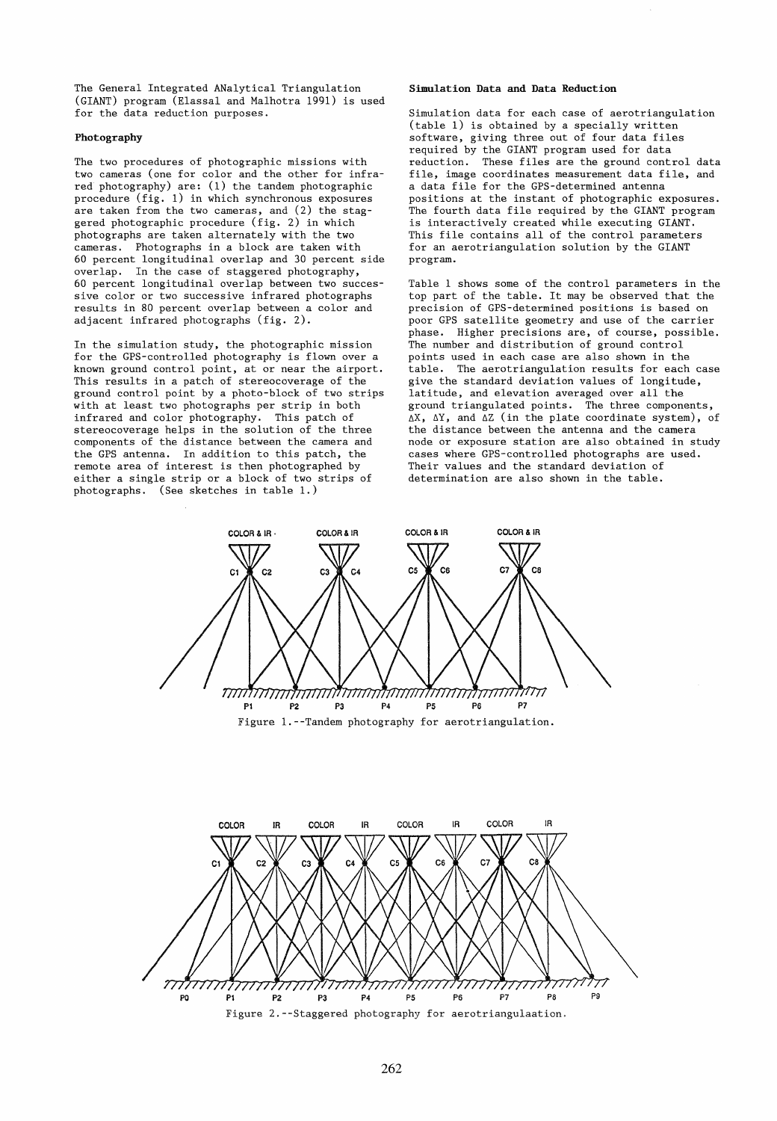The General Integrated ANalytical Triangulation (GIANT) program (Elassal and Malhotra 1991) is used for the data reduction purposes.

#### Photography

The two procedures of photographic missions with two cameras (one for color and the other for infrared photography) are: (1) the tandem photographic procedure (fig. 1) in which synchronous exposures are taken from the two cameras, and (2) the staggered photographic procedure (fig. 2) in which photographs are taken alternately with the two cameras. Photographs in a block are taken with 60 percent longitudinal overlap and 30 percent side overlap. In the case of staggered photography, 60 percent longitudinal overlap between two successive color or two successive infrared photographs results in 80 percent overlap between a color and adjacent infrared photographs (fig. 2).

In the simulation study, the photographic mission for the GPS-controlled photography is flown over a known ground control point, at or near the airport. This results in a patch of stereocoverage of the ground control point by a photo-block of two strips with at least two photographs per strip in both infrared and color photography. This patch of stereocoverage helps in the solution of the three components of the distance between the camera and the GPS antenna. In addition to this patch, the remote area of interest is then photographed by either a single strip or a block of two strips of photographs. (See sketches in table 1.)

### Simulation Data and Data Reduction

Simulation data for each case of aerotriangulation (table 1) is obtained by a specially written software, giving three out of four data files required by the GIANT program used for data reduction. These files are the ground control data file, image coordinates measurement data file, and a data file for the GPS-determined antenna positions at the instant of photographic exposures. The fourth data file required by the GIANT program is interactively created while executing GIANT. This file contains all of the control parameters for an aerotriangulation solution by the GIANT program.

Table 1 shows some of the control parameters in the top part of the table. It may be observed that the precision of GPS-determined positions is based on poor GPS satellite geometry and use of the carrier phase. Higher precisions are, of course, possible. The number and distribution of ground control points used in each case are also shown in the table. The aerotriangulation results for each case give the standard deviation values of longitude, latitude, and elevation averaged over all the ground triangulated points. The three components,  $\Delta X$ ,  $\Delta Y$ , and  $\Delta Z$  (in the plate coordinate system), of the distance between the antenna and the camera node or exposure station are also obtained in study cases where GPS-controlled photographs are used. Their values and the standard deviation of determination are also shown in the table.



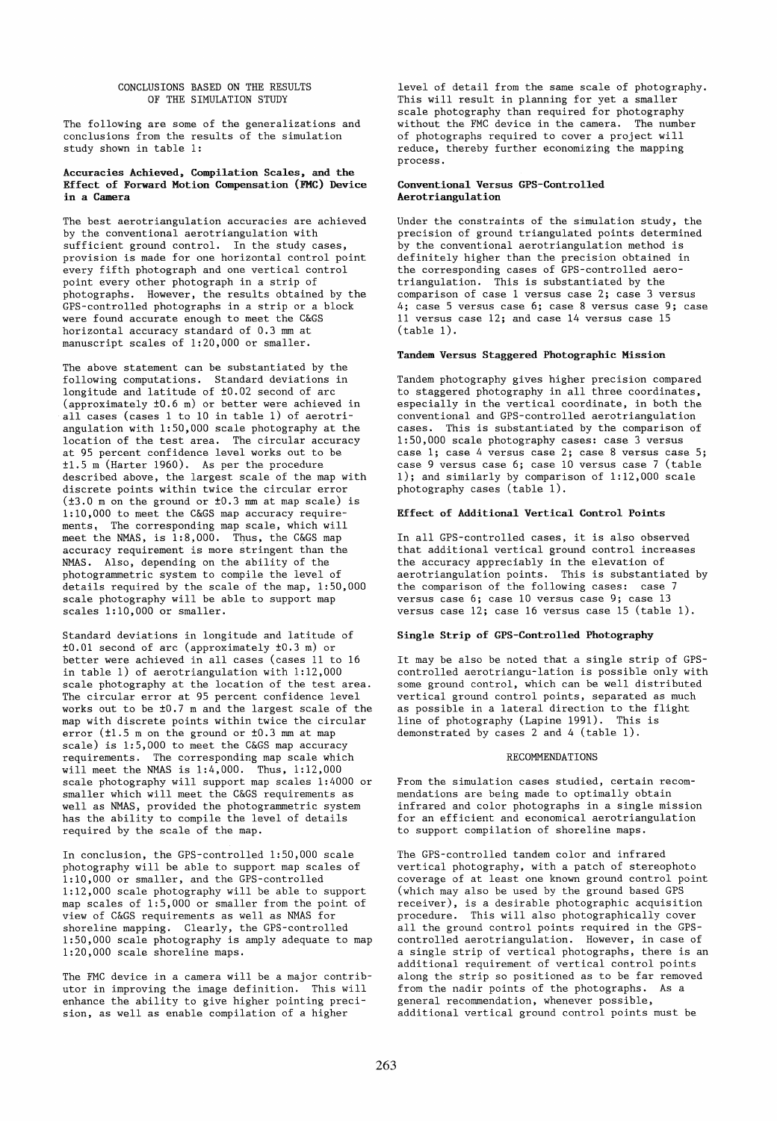## CONCLUSIONS BASED ON THE RESULTS OF THE SIMULATION STUDY

The following are some of the generalizations and conclusions from the results of the simulation study shown in table 1:

## Accuracies Achieved, Compilation Scales, and the Effect of Forward Motion Compensation (FMC) Device in a Camera

The best aerotriangulation accuracies are achieved by the conventional aerotriangulation with sufficient ground control. In the study cases, provision is made for one horizontal control point every fifth photograph and one vertical control point every other photograph in a strip of photographs. However, the results obtained by the GPS-controlled photographs in a strip or a block were found accurate enough to meet the C&GS horizontal accuracy standard of 0.3 mm at manuscript scales of 1:20,000 or smaller.

The above statement can be substantiated by the following computations. Standard deviations in longitude and latitude of ±0.02 second of arc (approximately ±0.6 m) er better were achieved in all cases (cases 1 to 10 in table 1) of aerotriangulation with 1:50,000 scale photography at the location of the test area. The circular accuracy at 95 percent confidence level works out to be ±1.5 m (Harter 1960). As per the procedure described above, the largest scale of the map with discrete points within twice the circular error (±3.0 m on the ground or ±0.3 mm at map scale) is 1:10,000 to meet the C&GS map accuracy requirements, The corresponding map scale, which will meet the NMAS, is 1:8,000. Thus, the C&GS map accuracy requirement is more stringent than the NMAS. Also, depending on the ability of the photogrammetric system to compile the level of details required by the scale of the map, 1:50,000 scale photography will be able to support map scales 1:10,000 or smaller.

Standard deviations in longitude and latitude of ±0.01 second of arc (approximately ±0.3 m) or better were achieved in all cases (cases 11 to 16 in table 1) of aerotriangulation with 1:12,000 scale photography at the location of the test area. The circular error at 95 percent confidence level works out to be ±0.7 m and the largest scale of the map with discrete points within twice the circular error (±1.5 m on the ground or ±0.3 mm at map scale) is 1:5,000 to meet the C&GS map accuracy requirements. The corresponding map scale which will meet the NMAS is 1:4,000. Thus, 1:12,000 scale photography will support map scales 1:4000 or smaller which will meet the C&GS requirements as weIl as NMAS, provided the photogrammetric system has the ability to compile the level of details required by the scale of the map.

In conclusion, the GPS-controlled 1:50,000 scale photography will be able to support map scales of 1:10,000 or smaller, and the GPS-controlled 1:12,000 scale photography will be able to support map scales of 1:5,000 or smaller from the point of view of C&GS requirements as weIl as NMAS for shoreline mapping. Clearly, the GPS-controlled 1:50,000 scale photography is amply adequate to map 1:20,000 scale shoreline maps.

The FMC device in a camera will be a major contributor in improving the image definition. This will enhance the ability to give higher pointing precision, as weIl as enable compilation of a higher

level of detail from the same scale of photography. This will result in planning for yet a smaller scale photography than required for photography without the FMC device in the camera. The number of photographs required to cover a project will reduce, thereby further economizing the mapping process.

## Conventional Versus GPS-Controlled Aerotriangulation

Under the constraints of the simulation study, the precision of ground triangulated points determined by the conventional aerotriangulation method is definitely higher than the precision obtained in the corresponding cases of GPS-controlled aerotriangulation. This is substantiated by the comparison of case 1 versus case 2; case 3 versus 4; case 5 versus case 6; case 8 versus case 9; case 11 versus case 12; and case 14 versus case 15 (table 1).

## Tandem Versus Staggered Photographie Mission

Tandem photography gives higher precision compared to staggered photography in all three coordinates, especially in the vertical coordinate, in both the conventional and GPS-controlled aerotriangulation cases. This is substantiated by the comparison of 1:50,000 scale photography cases: case 3 versus case 1; case 4 versus case 2; case 8 versus case 5; case 9 versus case 6; case 10 versus case 7 (table 1); and similarly by comparison of 1:12,000 scale photography cases (table 1).

# Effect of Additional Vertical Control Points

In all GPS-controlled cases, it is also observed that additional vertical ground control increases the accuracy appreciably in the elevation of aerotriangulation points. This is substantiated by the comparison of the following cases: case 7 versus case 6; case 10 versus case 9; case 13 versus case 12; case 16 versus case 15 (table 1).

## Single Strip of GPS-Controlled Photography

It may be also be noted that a single strip of GPScontrolled aerotriangu-Iation is possible only with some ground control, which can be weIl distributed vertical ground control points, separated as much as possible in a lateral direction to the flight line of photography (Lapine 1991). This is demonstrated by cases 2 and 4 (table 1).

### RECOMMENDATIONS

From the simulation cases studied, certain recommendations are being made to optimally obtain infrared and color photographs in a single mission for an efficient and economical aerotriangulation to support compilation of shoreline maps.

The GPS-controlled tandem color and infrared vertical photography, with a patch of stereophoto coverage of at least one known ground control point (which mayaiso be used by the ground based GPS receiver), is a desirable photographic acquisition procedure. This will also photographically cover all the ground control points required in the GPScontrolled aerotriangulation. However, in case of a single strip of vertical photographs, there is an additional requirement of vertical control points along the strip so positioned as to be far removed from the nadir points of the photographs. As a general recommendation, whenever possible, additional vertical ground control points must be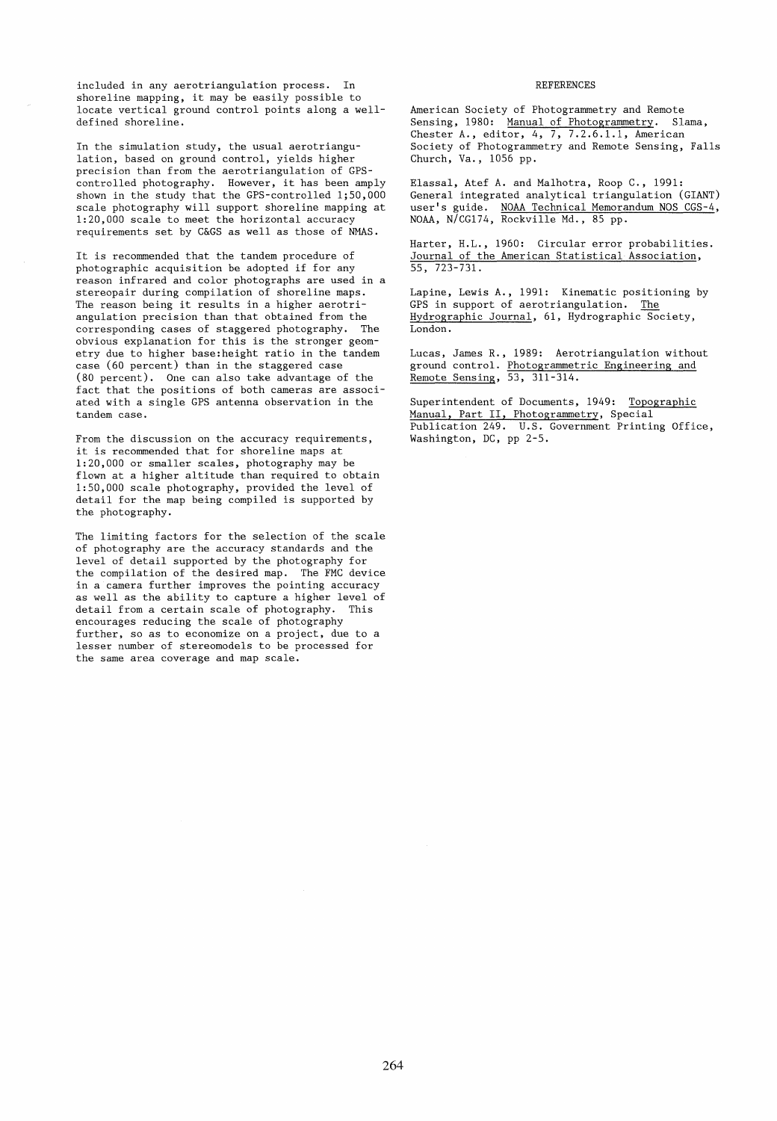included in any aerotriangulation process. In shoreline mapping, it may be easily possible to locate vertical ground control points along a welldefined shoreline.

In the simulation study, the usual aerotriangulation, based on ground control, yields higher precision than from the aerotriangulation of GPScontrolled photography. However, it has been amply shown in the study that the GPS-controlled 1;50,000 scale photography will support shoreline mapping at 1:20,000 scale to meet the horizontal accuracy requirements set by C&GS as weIl as those of NMAS.

It is recommended that the tandem procedure of photographie acquisition be adopted if for any reason infrared and color photographs are used in a stereopair during compilation of shoreline maps. The reason being it results in a higher aerotriangulation precision than that obtained from the corresponding cases of staggered photography. The obvious explanation for this is the stronger geometry due to higher base:height ratio in the tandem case (60 percent) than in the staggered case (80 percent). One can also take advantage of the fact that the positions of both cameras are associated with a single GPS antenna observation in the tandem case.

From the discussion on the accuracy requirements, it is recommended that for shoreline maps at 1:20,000 or smaller scales, photography may be flown at a higher altitude than required to obtain 1:50,000 scale photography, provided the level of detail for the map being compiled is supported by the photography.

The limiting factors for the selection of the scale of photography are the accuracy standards and the level of detail supported by the photography for the compilation of the desired map. The FMC device in a camera further improves the pointing accuracy as weIl as the ability to capture a higher level of detail from a certain scale of photography. This encourages reducing the scale of photography further, so as to economize on a project, due to a lesser number of stereomodels to be processed for the same area coverage and map scale.

#### REFERENCES

American Society of Photogrammetry and Remote Sensing, 1980: Manual of Photogrammetry. Slama, Chester A., editor, 4, 7, 7.2.6.1.1, American Society of Photogrammetry and Remote Sensing, Falls Church, Va., 1056 pp.

Elassal, Atef A. and Malhotra, Roop C., 1991: General integrated analytical triangulation (GIANT) user's guide. NOAA Technical Memorandum NOS CGS-4, NOAA, N/CG174, Rockville Md., 85 pp.

Harter, H.L., 1960: Circular error probabilities. Journal of the American Statistical Association, 55, 723-731.

Lapine, Lewis A., 1991: Kinematic positioning by GPS in support of aerotriangulation. The Hydrographie Journal, 61, Hydrographie Society, London.

Lucas, James R., 1989: Aerotriangulation without ground control. Photogrammetric Engineering and Remote Sensing, 53, 311-314.

Superintendent of Documents, 1949: Topographie Manual, Part II, Photogrammetry, Special Publication 249. U.S. Government Printing Office, Washington, DC, pp 2-5.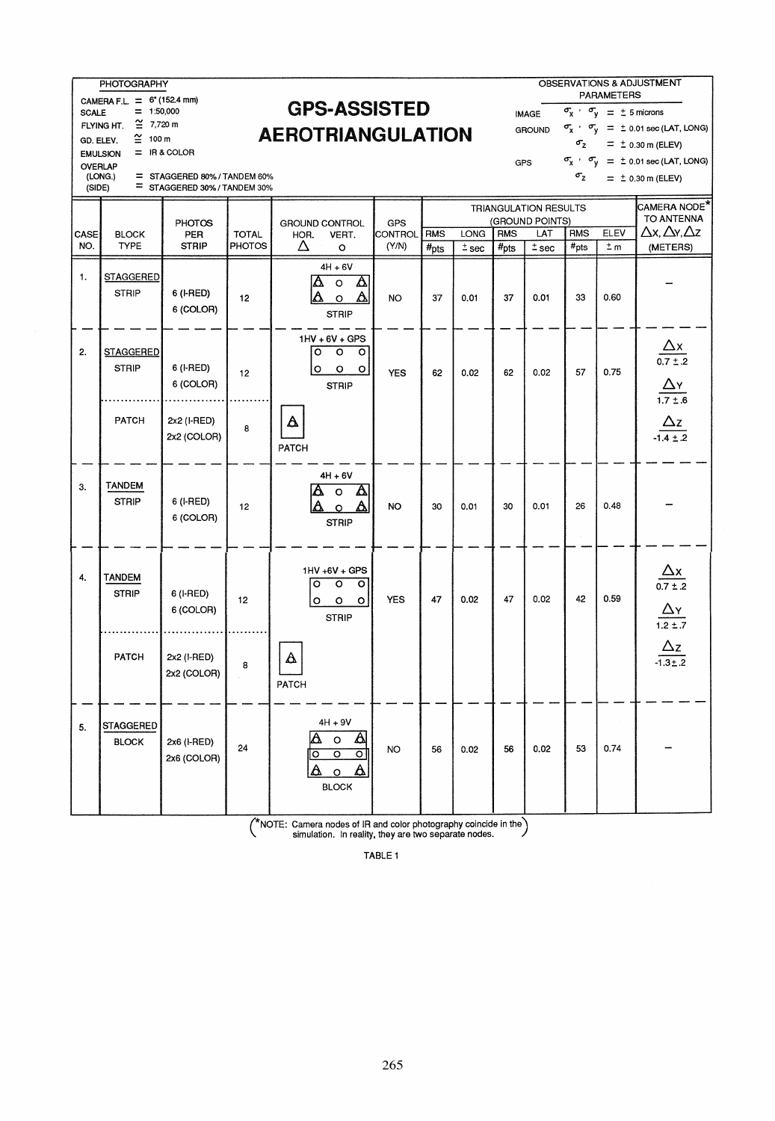SCALE = 1:50,000<br>FLYING HT.  $\cong$  7,720 m<br>GD. ELEV.  $\cong$  100 m

SCALE = 0 (1523 11111)<br>SCALE = 1:50,000 GPS-ASSISTED  $\begin{array}{cc} \text{IMAGE} & \sigma_x & \sigma_y & = \pm \text{5} \text{ micross} \\ \text{EMAGE} & \approx 1.750,000 \\ \text{EM్} & \text{EMG} \end{array}$ **GPS-ASSISTED**<br>**AEROTRIANGULATION** GROUND  $\sigma_X \cdot \sigma_y = \pm 0.01$  sec (LAT, LONG)

PHOTOGRAPHY OBSERVATIONS & ADJUSTMENT CAMERA F.L =  $6^{\circ}$  (152.4 mm) **CDC\_A CCICTE D** PARAMETERS GD. ELEV.  $\cong$  100 m **ALITU I I IIAI VULA I I VIV**<br>
EMULSION = IR&COLOR<br>  $\frac{G}{T} = \pm 0.30 \text{ m (ELEV)}$ <br>  $\frac{G}{T} = \pm 0.01 \text{ sec (LAT)}$  $T = \frac{1}{2}$  in a COLOR COLOR CONSTANDEM 60%  $\sigma_X$   $\sigma_Y = \pm 0.01$  sec (LAT, LONG)<br>  $T = \frac{1}{2}$  STAGGERED 80%/TANDEM 60%  $\sigma_z = \pm 0.30$  m (ELEV)

| OVERLAP<br>(SIDE) | <b>EMULSION</b><br>(LONG.)<br>$=$ | $=$ IR & COLOR<br>= STAGGERED 80% / TANDEM 60%<br>STAGGERED 30% / TANDEM 30% |              |                          |                                                                                             |                       |                  |         | GPS              |                              | $\sigma_{\rm z}$ |         | - 0.00 111 ( - - 1<br>$\sigma_{\rm X}$ $\sigma_{\rm V}$ = $\pm$ 0.01 sec (LAT, LONG)<br>$= 10.30$ m (ELEV) |
|-------------------|-----------------------------------|------------------------------------------------------------------------------|--------------|--------------------------|---------------------------------------------------------------------------------------------|-----------------------|------------------|---------|------------------|------------------------------|------------------|---------|------------------------------------------------------------------------------------------------------------|
|                   |                                   |                                                                              |              |                          |                                                                                             |                       |                  |         |                  | <b>TRIANGULATION RESULTS</b> |                  |         | CAMERA NODE <sup>*</sup>                                                                                   |
| CASE              | <b>BLOCK</b>                      | <b>PHOTOS</b><br>PER                                                         | <b>TOTAL</b> | GROUND CONTROL<br>HOR.   | VERT.                                                                                       | GPS<br><b>CONTROL</b> | <b>RMS</b>       | LONG    | <b>RMS</b>       | (GROUND POINTS)<br>LAT       | <b>RMS</b>       | ELEV    | TO ANTENNA<br>$\Delta x, \Delta y, \Delta z$                                                               |
| NO.               | <b>TYPE</b>                       | <b>STRIP</b>                                                                 | PHOTOS       | Δ                        | $\circ$                                                                                     | (Y/N)                 | $#_{\text{pts}}$ | $±$ sec | $#_{\text{pts}}$ | $\overline{\pm}$ sec         | $#_{pts}$        | $\pm m$ | (METERS)                                                                                                   |
| 1.                | <b>STAGGERED</b><br><b>STRIP</b>  | 6 (I-RED)<br>6 (COLOR)                                                       | 12           | $\Delta$<br>Λ            | $4H + 6V$<br>$\Delta$<br>$\circ$<br>$\Delta$<br>$\circ$<br><b>STRIP</b>                     | <b>NO</b>             | 37               | 0.01    | 37               | 0.01                         | 33               | 0.60    |                                                                                                            |
| 2.                | <b>STAGGERED</b><br><b>STRIP</b>  | 6 (I-RED)<br>6 (COLOR)                                                       | 12           | $\overline{\circ}$<br>o  | $1HV + 6V + GPS$<br>$\overline{\circ}$<br>$\circ$<br>$\circ$<br>$\circ$<br><b>STRIP</b>     | <b>YES</b>            | 62               | 0.02    | 62               | 0.02                         | 57               | 0.75    | $\frac{\Delta x}{0.7 \pm .2}$<br>$\frac{\Delta Y}{1.7 \pm .6}$                                             |
|                   | PATCH                             | 2x2 (I-RED)<br>2x2 (COLOR)                                                   | 8            | $\Delta$<br>PATCH        |                                                                                             |                       |                  |         |                  |                              |                  |         | $\frac{\Delta z}{-1.4 \pm .2}$                                                                             |
| 3.                | <b>TANDEM</b><br><b>STRIP</b>     | 6 (I-RED)<br>6 (COLOR)                                                       | 12           | A                        | $4H + 6V$<br>$\Delta$<br>$\circ$<br>Δ<br><b>STRIP</b>                                       | <b>NO</b>             | 30               | 0.01    | 30               | 0.01                         | 26               | 0.48    |                                                                                                            |
| 4.                | <b>TANDEM</b><br><b>STRIP</b>     | 6 (I-RED)<br>6 (COLOR)                                                       | 12           | ाठ<br>$\circ$            | 1HV +6V + GPS<br>$\overline{\circ}$<br>$\circ$<br>$\circ$<br>$\circ$<br><b>STRIP</b>        | <b>YES</b>            | 47               | 0.02    | 47               | 0.02                         | 42               | 0.59    | $\frac{\Delta x}{0.7 \pm .2}$ $\frac{\Delta y}{1.2 \pm .7}$                                                |
|                   | <b>PATCH</b>                      | 2x2 (I-RED)<br>2x2 (COLOR)                                                   | 8            | $\Delta$<br>PATCH        |                                                                                             |                       |                  |         |                  |                              |                  |         | $\frac{\Delta z}{-1.3 \pm .2}$                                                                             |
| 5.                | <b>STAGGERED</b><br><b>BLOCK</b>  | 2x6 (I-RED)<br>2x6 (COLOR)                                                   | 24           | $\Delta$<br>$\circ$<br>Δ | $4H + 9V$<br>$\Delta$<br>$\circ$<br>$\overline{\circ}$<br>०<br>Δ<br>$\circ$<br><b>BLOCK</b> | NO                    | 56               | 0.02    | 56               | 0.02                         | 53               | 0.74    |                                                                                                            |

( \*NOTE: Camera nodes of IR and color photography coincide in the) simulation. In reality, they are two separate nodes.

TABlE 1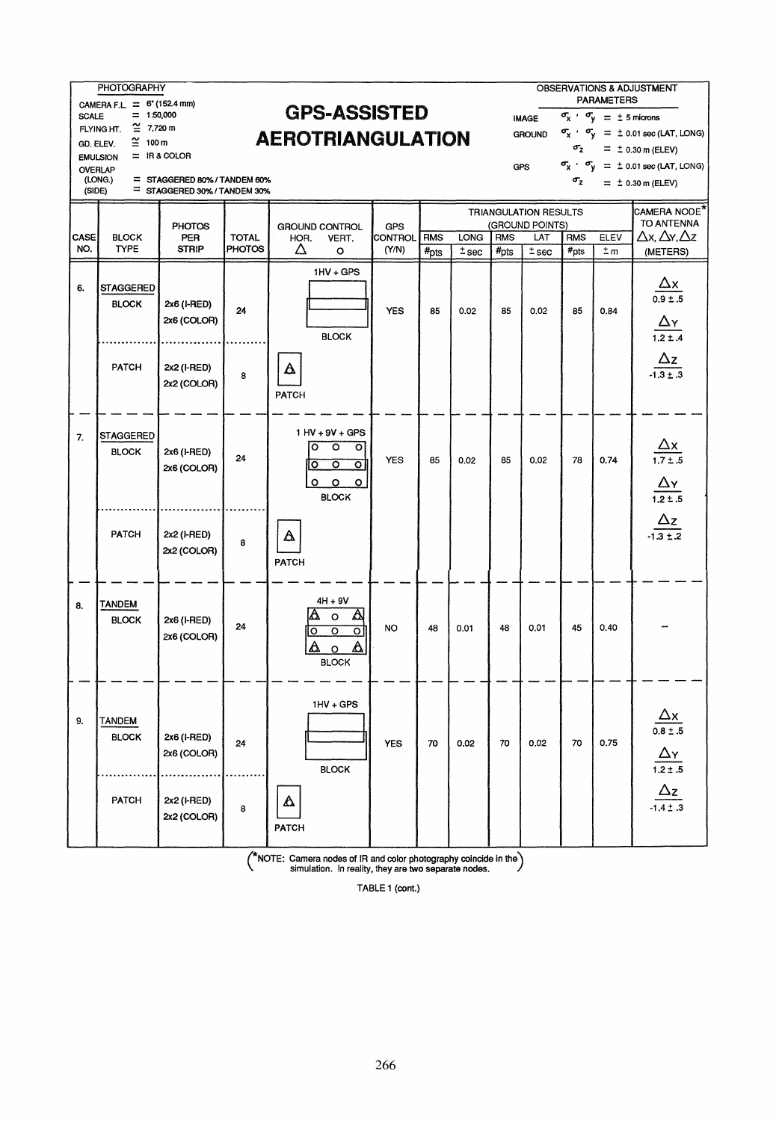|                | <b>PHOTOGRAPHY</b>                          |                                                            |                                                 |                                                                                                               |                         |                    |                 |                                |                              |                                | <b>PARAMETERS</b>                                   | OBSERVATIONS & ADJUSTMENT                                                                 |  |
|----------------|---------------------------------------------|------------------------------------------------------------|-------------------------------------------------|---------------------------------------------------------------------------------------------------------------|-------------------------|--------------------|-----------------|--------------------------------|------------------------------|--------------------------------|-----------------------------------------------------|-------------------------------------------------------------------------------------------|--|
| <b>SCALE</b>   | CAMERA F.L. = 6" (152.4 mm)<br>$= 1:50,000$ |                                                            | <b>GPS-ASSISTED</b><br><b>AEROTRIANGULATION</b> |                                                                                                               |                         |                    |                 |                                |                              |                                | $\sigma_{\rm x}$ , $\sigma_{\rm v} = \pm 5$ microns |                                                                                           |  |
|                | $\cong 7,720$ m<br>FLYING HT.               |                                                            |                                                 |                                                                                                               |                         |                    |                 |                                |                              |                                |                                                     | $\sigma_{\chi}$ $\sigma_{\chi}$ = $\pm$ 0.01 sec (LAT, LONG)                              |  |
| GD. ELEV.      | $\cong$ 100 m<br><b>EMULSION</b>            | $=$ IR & COLOR                                             |                                                 |                                                                                                               |                         |                    |                 |                                |                              | $\sigma_{z}$                   |                                                     | $= 10.30$ m (ELEV)                                                                        |  |
| <b>OVERLAP</b> |                                             |                                                            |                                                 |                                                                                                               |                         |                    |                 |                                | <b>GPS</b>                   |                                |                                                     | $\sigma_{\rm X}$ , $\sigma_{\rm Y}$ = $\pm$ 0.01 sec (LAT, LONG)                          |  |
| (SIDE)         | (LONG.)<br>$=$                              | STAGGERED 80% / TANDEM 60%<br>= STAGGERED 30% / TANDEM 30% |                                                 |                                                                                                               |                         |                    |                 |                                |                              | $\sigma_{\rm z}$               |                                                     | $= 10.30$ m (ELEV)                                                                        |  |
|                |                                             |                                                            |                                                 |                                                                                                               |                         |                    |                 |                                | <b>TRIANGULATION RESULTS</b> |                                |                                                     | CAMERA NODE <sup>*</sup>                                                                  |  |
|                |                                             | <b>PHOTOS</b>                                              |                                                 | <b>GROUND CONTROL</b>                                                                                         | <b>GPS</b>              |                    |                 |                                | (GROUND POINTS)              |                                |                                                     | TO ANTENNA                                                                                |  |
| CASE<br>NO.    | <b>BLOCK</b><br><b>TYPE</b>                 | <b>PER</b><br><b>STRIP</b>                                 | <b>TOTAL</b><br><b>PHOTOS</b>                   | HOR.<br>VERT.<br>Δ<br>$\circ$                                                                                 | <b>CONTROL</b><br>(Y/N) | <b>RMS</b><br>#pts | LONG<br>$±$ sec | <b>RMS</b><br>$#_{\text{pts}}$ | LAT<br>$±$ sec               | <b>RMS</b><br>$#_{\text{DIS}}$ | ELEV<br>$\pm m$                                     | $\Delta x, \Delta y, \Delta z$<br>(METERS)                                                |  |
|                |                                             |                                                            |                                                 |                                                                                                               |                         |                    |                 |                                |                              |                                |                                                     |                                                                                           |  |
| 6.             | <b>STAGGERED</b>                            |                                                            |                                                 | $1HV + GPS$                                                                                                   |                         |                    |                 |                                |                              |                                |                                                     |                                                                                           |  |
|                | <b>BLOCK</b>                                | 2x6 (I-RED)                                                |                                                 |                                                                                                               |                         |                    |                 |                                |                              |                                |                                                     | $\frac{\Delta x}{0.9 \pm .5}$                                                             |  |
|                |                                             | 2x6 (COLOR)                                                | 24                                              |                                                                                                               | <b>YES</b>              | 85                 | 0.02            | 85                             | 0.02                         | 85                             | 0.84                                                |                                                                                           |  |
|                |                                             |                                                            |                                                 | <b>BLOCK</b>                                                                                                  |                         |                    |                 |                                |                              |                                |                                                     | $\frac{\Delta Y}{1.2 \pm .4}$                                                             |  |
|                |                                             |                                                            |                                                 |                                                                                                               |                         |                    |                 |                                |                              |                                |                                                     |                                                                                           |  |
|                | <b>PATCH</b>                                | 2x2 (I-RED)                                                | 8                                               | Δ                                                                                                             |                         |                    |                 |                                |                              |                                |                                                     | $\frac{\Delta z}{-1.3 \pm .3}$                                                            |  |
|                |                                             | 2x2 (COLOR)                                                |                                                 | <b>PATCH</b>                                                                                                  |                         |                    |                 |                                |                              |                                |                                                     |                                                                                           |  |
|                |                                             |                                                            |                                                 |                                                                                                               |                         |                    |                 |                                |                              |                                |                                                     |                                                                                           |  |
| 7.             | <b>STAGGERED</b>                            |                                                            |                                                 | $1$ HV + 9V + GPS                                                                                             |                         |                    |                 |                                |                              |                                |                                                     |                                                                                           |  |
|                | <b>BLOCK</b>                                | 2x6 (I-RED)                                                | 24                                              | O<br>$\circ$<br>$\circ$                                                                                       |                         |                    |                 |                                |                              |                                |                                                     | $\frac{\Delta x}{1.7 \pm .5}$                                                             |  |
|                |                                             | 2x6 (COLOR)                                                |                                                 | $\overline{\circ}$<br>$\overline{\circ}$<br>IО                                                                | <b>YES</b>              | 85                 | 0.02            | 85                             | 0.02                         | 78                             | 0.74                                                |                                                                                           |  |
|                |                                             |                                                            |                                                 | $\circ$<br>$\circ$<br>$\circ$                                                                                 |                         |                    |                 |                                |                              |                                |                                                     | $\frac{\Delta y}{1.2 \pm .5}$                                                             |  |
|                |                                             |                                                            |                                                 | <b>BLOCK</b>                                                                                                  |                         |                    |                 |                                |                              |                                |                                                     |                                                                                           |  |
|                |                                             |                                                            |                                                 |                                                                                                               |                         |                    |                 |                                |                              |                                |                                                     | $\frac{\Delta z}{1.3 \pm .2}$                                                             |  |
|                | PATCH                                       | 2x2 (I-RED)<br>2x2 (COLOR)                                 | 8                                               | Δ                                                                                                             |                         |                    |                 |                                |                              |                                |                                                     |                                                                                           |  |
|                |                                             |                                                            |                                                 | PATCH                                                                                                         |                         |                    |                 |                                |                              |                                |                                                     |                                                                                           |  |
|                |                                             |                                                            |                                                 |                                                                                                               |                         |                    |                 |                                |                              |                                |                                                     |                                                                                           |  |
| 8.             | TANDEM                                      |                                                            |                                                 | $4H + 9V$                                                                                                     |                         |                    |                 |                                |                              |                                |                                                     |                                                                                           |  |
|                | <b>BLOCK</b>                                | 2x6 (I-RED)                                                | 24                                              | $\Delta$<br>$\Delta$<br>$\circ$                                                                               | <b>NO</b>               | 48                 | 0.01            | 48                             | 0.01                         | 45                             | 0.40                                                |                                                                                           |  |
|                |                                             | 2x6 (COLOR)                                                |                                                 | ठ<br>ਠ<br>o<br>Δ                                                                                              |                         |                    |                 |                                |                              |                                |                                                     |                                                                                           |  |
|                |                                             |                                                            |                                                 | Δ<br>$\circ$<br><b>BLOCK</b>                                                                                  |                         |                    |                 |                                |                              |                                |                                                     |                                                                                           |  |
|                |                                             |                                                            |                                                 |                                                                                                               |                         |                    |                 |                                |                              |                                |                                                     |                                                                                           |  |
|                |                                             |                                                            |                                                 | $1HV + GPS$                                                                                                   |                         |                    |                 |                                |                              |                                |                                                     |                                                                                           |  |
| 9.             | <b>TANDEM</b>                               |                                                            |                                                 |                                                                                                               |                         |                    |                 |                                |                              |                                |                                                     |                                                                                           |  |
|                | <b>BLOCK</b>                                | 2x6 (I-RED)                                                |                                                 |                                                                                                               |                         |                    |                 |                                |                              |                                |                                                     |                                                                                           |  |
|                |                                             | 2x6 (COLOR)                                                | 24                                              |                                                                                                               | <b>YES</b>              | 70                 | 0.02            | 70                             | 0.02                         | 70                             | 0.75                                                |                                                                                           |  |
|                |                                             |                                                            |                                                 | <b>BLOCK</b>                                                                                                  |                         |                    |                 |                                |                              |                                |                                                     |                                                                                           |  |
|                |                                             |                                                            |                                                 |                                                                                                               |                         |                    |                 |                                |                              |                                |                                                     |                                                                                           |  |
|                | PATCH                                       | 2x2 (I-RED)<br>2x2 (COLOR)                                 | 8                                               | Δ                                                                                                             |                         |                    |                 |                                |                              |                                |                                                     | $\frac{\Delta x}{0.8 \pm .5}$ $\frac{\Delta y}{1.2 \pm .5}$ $\frac{\Delta z}{1.4 \pm .3}$ |  |
|                |                                             |                                                            |                                                 | PATCH                                                                                                         |                         |                    |                 |                                |                              |                                |                                                     |                                                                                           |  |
|                |                                             |                                                            |                                                 | $\sqrt{\frac{k_{\text{N}}}{k_{\text{N}}}}$ Camera podge of IP and color photography coincide in the $\lambda$ |                         |                    |                 |                                |                              |                                |                                                     |                                                                                           |  |

( 'kNOTE: Camera nodes of IR and color photography coincide in the) simulation. In reality, they are two separate nades.

TABLE 1 (cont.)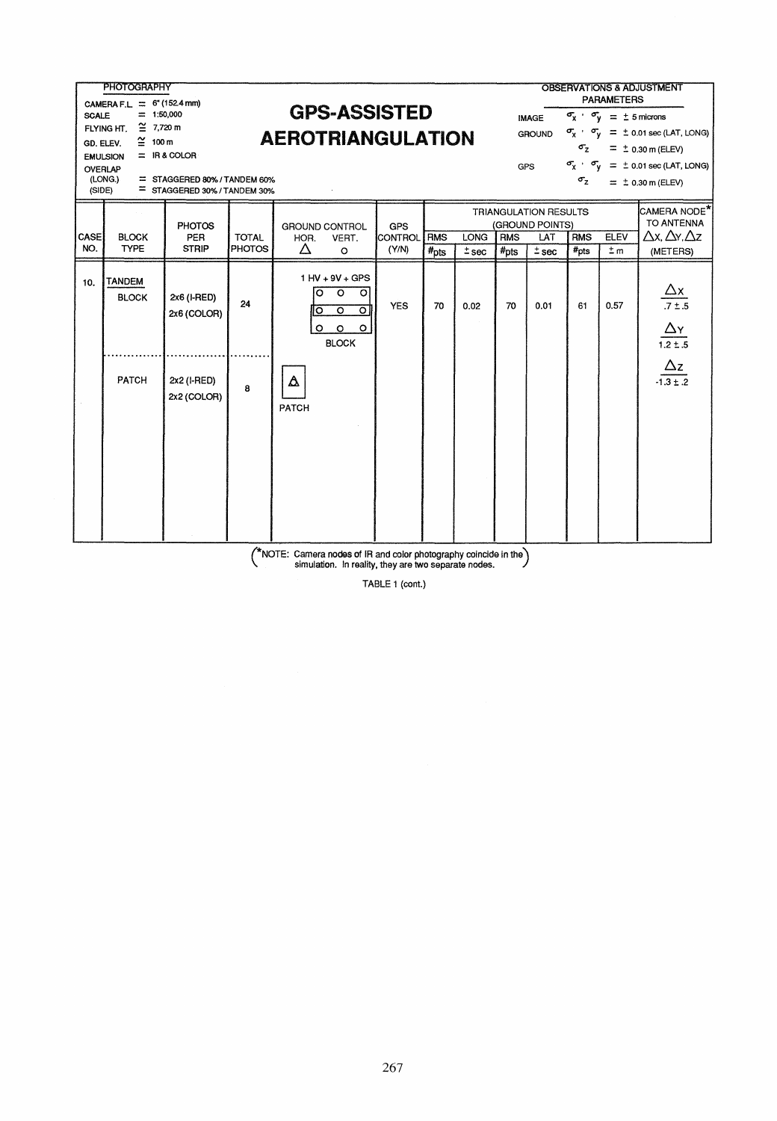|                                              | <b>PHOTOGRAPHY</b>                                        |                              |                     |                          |                                          |                |                  |             |                  |                       |                                                                    |                                                       | OBSERVATIONS & ADJUSTMENT                                              |
|----------------------------------------------|-----------------------------------------------------------|------------------------------|---------------------|--------------------------|------------------------------------------|----------------|------------------|-------------|------------------|-----------------------|--------------------------------------------------------------------|-------------------------------------------------------|------------------------------------------------------------------------|
|                                              | <b>PARAMETERS</b><br>CAMERA F.L. = $6*(152.4 \text{ mm})$ |                              |                     |                          |                                          |                |                  |             |                  |                       |                                                                    |                                                       |                                                                        |
| <b>SCALE</b>                                 | $= 1:50,000$                                              |                              | <b>GPS-ASSISTED</b> |                          |                                          |                |                  |             |                  | <b>IMAGE</b>          |                                                                    | $\sigma_{\chi}$ $\sigma_{\text{V}}$ = $\pm$ 5 microns |                                                                        |
|                                              | $\cong 7.720$ m<br>FLYING HT.                             |                              |                     | <b>AEROTRIANGULATION</b> |                                          |                |                  |             |                  | GROUND                | $\sigma_{\chi}$ , $\sigma_{\text{V}}$ = $\pm$ 0.01 sec (LAT, LONG) |                                                       |                                                                        |
|                                              | $\cong$ 100 m<br>GD. ELEV.                                |                              |                     |                          |                                          |                |                  |             |                  |                       | $\sigma_{z}$                                                       |                                                       | $\equiv \pm 0.30$ m (ELEV)                                             |
| $=$ IR & COLOR<br><b>EMULSION</b><br>OVERLAP |                                                           |                              |                     |                          |                                          |                |                  |             |                  | <b>GPS</b>            |                                                                    |                                                       | $\sigma_{\text{X}}$ , $\sigma_{\text{V}}$ = $\pm$ 0.01 sec (LAT, LONG) |
|                                              | (LONG.)                                                   | = STAGGERED 80% / TANDEM 60% |                     |                          |                                          |                |                  |             |                  |                       | $\sigma_{z}$                                                       |                                                       | $= 10.30$ m (ELEV)                                                     |
|                                              | (SIDE)                                                    | = STAGGERED 30% / TANDEM 30% |                     |                          |                                          |                |                  |             |                  |                       |                                                                    |                                                       |                                                                        |
|                                              |                                                           |                              |                     |                          |                                          |                |                  |             |                  | TRIANGULATION RESULTS |                                                                    |                                                       | CAMERA NODE <sup>*</sup>                                               |
|                                              |                                                           | <b>PHOTOS</b>                |                     | <b>GROUND CONTROL</b>    |                                          | GPS            |                  |             |                  | (GROUND POINTS)       |                                                                    |                                                       | TO ANTENNA                                                             |
| <b>CASE</b>                                  | <b>BLOCK</b>                                              | <b>PER</b>                   | <b>TOTAL</b>        | HOR.                     | VERT.                                    | <b>CONTROL</b> | <b>RMS</b>       | <b>LONG</b> | <b>RMS</b>       | LAT                   | <b>RMS</b>                                                         | ELEV                                                  | $\Delta$ x, $\Delta$ y, $\Delta$ z                                     |
| NO.                                          | <b>TYPE</b>                                               | <b>STRIP</b>                 | PHOTOS              | Δ                        | $\circ$                                  | (Y/N)          | $#_{\text{DIS}}$ | $±$ sec     | $#_{\text{Dts}}$ | $±$ sec               | #pts                                                               | $\pm m$                                               | (METERS)                                                               |
|                                              |                                                           |                              |                     |                          | 1 HV + 9V + GPS                          |                |                  |             |                  |                       |                                                                    |                                                       |                                                                        |
| 10.                                          | <b>TANDEM</b>                                             |                              |                     | $\circ$                  | $\circ$<br>$\circ$                       |                |                  |             |                  |                       |                                                                    |                                                       |                                                                        |
|                                              | <b>BLOCK</b>                                              | 2x6 (I-RED)                  | 24                  |                          |                                          | <b>YES</b>     | 70               | 0.02        | 70               | 0.01                  | 61                                                                 | 0.57                                                  | $\frac{\Delta x}{.7 \pm .5}$                                           |
|                                              |                                                           | 2x6 (COLOR)                  |                     | о                        | $\overline{\circ}$<br>$\overline{\circ}$ |                |                  |             |                  |                       |                                                                    |                                                       |                                                                        |
|                                              |                                                           |                              |                     | $\circ$                  | $\circ$<br>$\circ$                       |                |                  |             |                  |                       |                                                                    |                                                       | $\Delta$ Y                                                             |
|                                              |                                                           |                              |                     |                          | <b>BLOCK</b>                             |                |                  |             |                  |                       |                                                                    |                                                       | $1.2 \pm .5$                                                           |
|                                              |                                                           |                              |                     |                          |                                          |                |                  |             |                  |                       |                                                                    |                                                       | $\Delta z$                                                             |
|                                              | PATCH                                                     | 2x2 (I-RED)                  |                     | Δ                        |                                          |                |                  |             |                  |                       |                                                                    |                                                       | $-1.3 \pm .2$                                                          |
|                                              |                                                           | 2x2 (COLOR)                  | 8                   |                          |                                          |                |                  |             |                  |                       |                                                                    |                                                       |                                                                        |
|                                              |                                                           |                              |                     | PATCH                    |                                          |                |                  |             |                  |                       |                                                                    |                                                       |                                                                        |
|                                              |                                                           |                              |                     |                          |                                          |                |                  |             |                  |                       |                                                                    |                                                       |                                                                        |
|                                              |                                                           |                              |                     |                          |                                          |                |                  |             |                  |                       |                                                                    |                                                       |                                                                        |
|                                              |                                                           |                              |                     |                          |                                          |                |                  |             |                  |                       |                                                                    |                                                       |                                                                        |
|                                              |                                                           |                              |                     |                          |                                          |                |                  |             |                  |                       |                                                                    |                                                       |                                                                        |
|                                              |                                                           |                              |                     |                          |                                          |                |                  |             |                  |                       |                                                                    |                                                       |                                                                        |
|                                              |                                                           |                              |                     |                          |                                          |                |                  |             |                  |                       |                                                                    |                                                       |                                                                        |
|                                              |                                                           |                              |                     |                          |                                          |                |                  |             |                  |                       |                                                                    |                                                       |                                                                        |
|                                              |                                                           |                              |                     |                          |                                          |                |                  |             |                  |                       |                                                                    |                                                       |                                                                        |

( \*NOTE: Camera nodes of IR and color photography coincide in the) simulation. In reality, they are two separate nades.

TABLE 1 (cont.)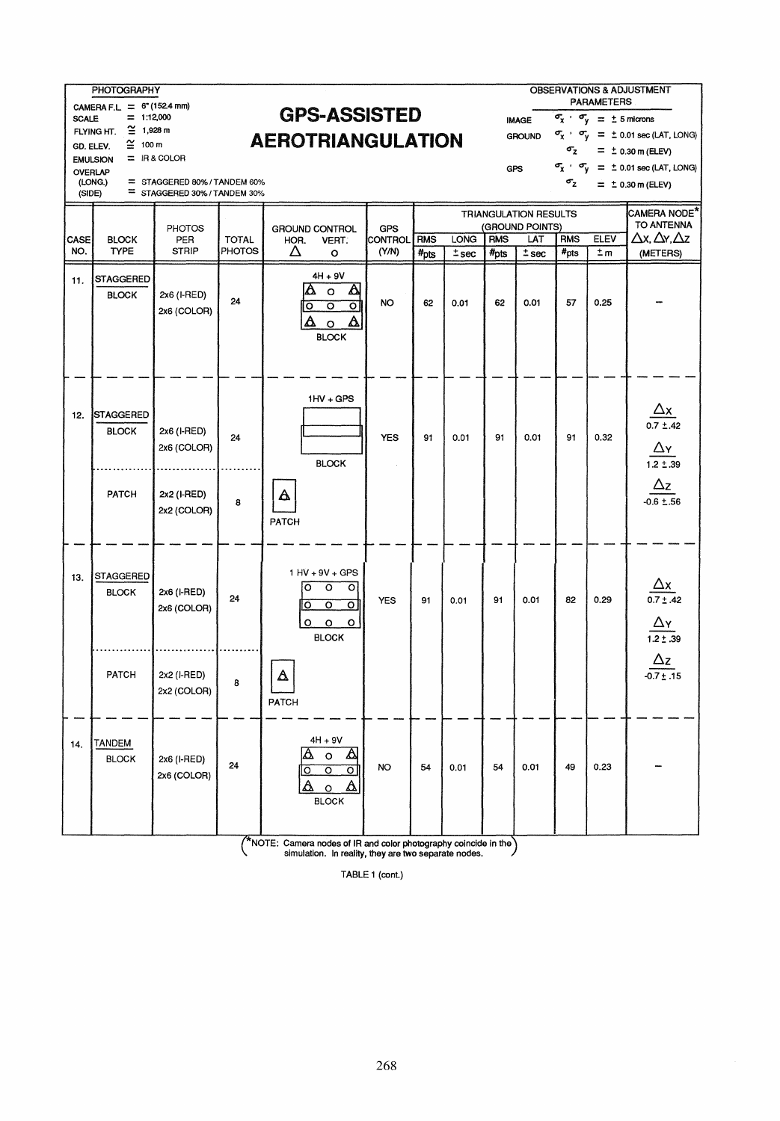|                                                         | <b>PHOTOGRAPHY</b><br>OBSERVATIONS & ADJUSTMENT<br><b>PARAMETERS</b><br>CAMERA F.L. = $6*(1524 \text{ mm})$ |                                                          |               |                                                                                                                   |                                    |                       |                  |             |            |                              |                  |                                                     |                                                                                                  |
|---------------------------------------------------------|-------------------------------------------------------------------------------------------------------------|----------------------------------------------------------|---------------|-------------------------------------------------------------------------------------------------------------------|------------------------------------|-----------------------|------------------|-------------|------------|------------------------------|------------------|-----------------------------------------------------|--------------------------------------------------------------------------------------------------|
| <b>SCALE</b>                                            | $= 1:12,000$                                                                                                |                                                          |               | <b>GPS-ASSISTED</b>                                                                                               |                                    |                       |                  |             |            | <b>IMAGE</b>                 |                  | $\sigma_{\rm x}$ $\sigma_{\rm y}$ = $\pm$ 5 microns |                                                                                                  |
|                                                         | $\cong$ 1,928 m<br>FLYING HT.<br>$\cong$ 100 m                                                              |                                                          |               | <b>AEROTRIANGULATION</b>                                                                                          |                                    |                       |                  |             |            | <b>GROUND</b>                |                  |                                                     | $\sigma_{\rm X}$ $\cdot$ $\sigma_{\rm V}$ = $\pm$ 0.01 sec (LAT, LONG)                           |
|                                                         | GD. ELEV.<br>$\sigma_{\rm z}$<br>$=$ IR & COLOR<br><b>EMULSION</b>                                          |                                                          |               |                                                                                                                   |                                    |                       |                  |             |            |                              |                  |                                                     | $= 10.30$ m (ELEV)                                                                               |
| GPS<br>OVERLAP<br>(LONG.)<br>= STAGGERED 80%/TANDEM 60% |                                                                                                             |                                                          |               |                                                                                                                   |                                    |                       |                  |             |            |                              | $\sigma_{\rm z}$ |                                                     | $\sigma_{\chi}$ , $\sigma_{\gamma}$ = $\pm$ 0.01 sec (LAT, LONG)                                 |
|                                                         | $= 10.30$ m (ELEV)<br>= STAGGERED 30% / TANDEM 30%<br>(SIDE)                                                |                                                          |               |                                                                                                                   |                                    |                       |                  |             |            |                              |                  |                                                     |                                                                                                  |
|                                                         |                                                                                                             |                                                          |               |                                                                                                                   |                                    |                       |                  |             |            | <b>TRIANGULATION RESULTS</b> |                  |                                                     | CAMERA NODE*<br>TO ANTENNA                                                                       |
| CASE                                                    | <b>BLOCK</b>                                                                                                | <b>PHOTOS</b><br>PER                                     | <b>TOTAL</b>  | <b>GROUND CONTROL</b><br>HOR.<br>VERT.                                                                            |                                    | <b>GPS</b><br>CONTROL | <b>RMS</b>       | <b>LONG</b> | <b>RMS</b> | (GROUND POINTS)<br>LAT       | <b>RMS</b>       | <b>ELEV</b>                                         | $\Delta x$ , $\Delta y$ , $\Delta z$                                                             |
| NO.                                                     | <b>TYPE</b>                                                                                                 | <b>STRIP</b>                                             | <b>PHOTOS</b> | Δ<br>$\circ$                                                                                                      |                                    | (Y/N)                 | $#_{\text{DIS}}$ | $±$ sec     | $#_{DIS}$  | $±$ sec                      | $#_{\text{Dts}}$ | $\pm m$                                             | (METERS)                                                                                         |
| 11.                                                     | <b>STAGGERED</b><br><b>BLOCK</b>                                                                            | 2x6 (I-RED)<br>2x6 (COLOR)                               | 24            | $4H + 9V$<br>Δ<br>$\circ$<br>$\overline{\circ}$<br>o<br>Δ<br>$\circ$<br><b>BLOCK</b>                              | $\blacktriangle$<br>ল<br>Δ         | NO.                   | 62               | 0.01        | 62         | 0.01                         | 57               | 0.25                                                |                                                                                                  |
| 12.                                                     | <b>STAGGERED</b><br><b>BLOCK</b><br>PATCH                                                                   | 2x6 (I-RED)<br>2x6 (COLOR)<br>2x2 (I-RED)<br>2x2 (COLOR) | 24<br>8       | $1HV + GPS$<br><b>BLOCK</b><br>Δ<br>PATCH                                                                         |                                    | <b>YES</b>            | 91               | 0.01        | 91         | 0.01                         | 91               | 0.32                                                | $\frac{\Delta x}{0.7 \pm .42}$<br>$\Delta$ y<br>$1.2 \pm .39$<br>$\Delta z$<br>$-0.6 \pm .56$    |
| 13.                                                     | <b>STAGGERED</b><br><b>BLOCK</b><br>PATCH                                                                   | 2x6 (I-RED)<br>2x6 (COLOR)<br>2x2 (I-RED)                | 24<br>8       | 1 HV + 9V + GPS<br>$\circ$<br>$\circ$<br>$\overline{\circ}$<br>$\circ$<br>$\circ$<br>$\circ$<br><b>BLOCK</b><br>Δ | $\overline{\circ}$<br>ठ<br>$\circ$ | <b>YES</b>            | 91               | 0.01        | 91         | 0.01                         | 82               | 0.29                                                | $\frac{\Delta x}{0.7 \pm .42}$<br>$\frac{\Delta y}{1.2 \pm .39}$<br>$\Delta z$<br>$-0.7 \pm .15$ |
| 14.                                                     | <b>TANDEM</b><br><b>BLOCK</b>                                                                               | 2x2 (COLOR)<br>2x6 (I-RED)<br>2x6 (COLOR)                | 24            | PATCH<br>4H + 9V<br>$\circ$<br>०<br>O<br>Δ<br>$\circ$<br><b>BLOCK</b>                                             | Δ<br>ା<br>Δ                        | NO                    | 54               | 0.01        | 54         | 0.01                         | 49               | 0.23                                                |                                                                                                  |
|                                                         |                                                                                                             |                                                          |               | $\sqrt{\ }$ NOTE: Camera nodes of IR and color photography coincide in the                                        |                                    |                       |                  |             |            |                              |                  |                                                     |                                                                                                  |

(\*NOTE: Camera nodes of IR and color photography coincide in the) \ simulation. In reality, they are two separate nodes.

TABLE 1 (cont.)